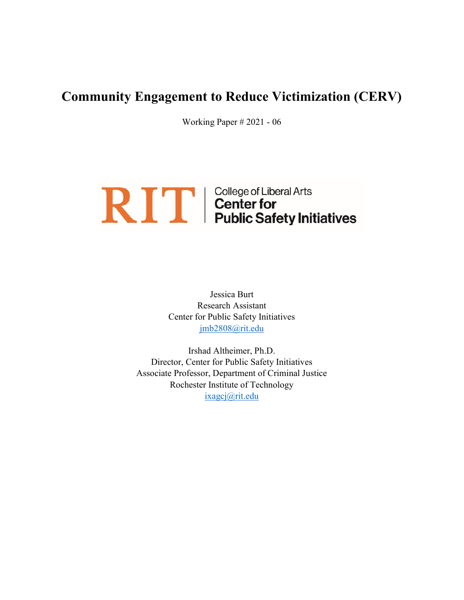# Community Engagement to Reduce Victimization (CERV)

Working Paper # 2021 - 06

# **RIT** | College of Liberal Arts<br> **Public Safety Initiatives**

Jessica Burt Research Assistant Center for Public Safety Initiatives jmb2808@rit.edu

Irshad Altheimer, Ph.D. Director, Center for Public Safety Initiatives Associate Professor, Department of Criminal Justice Rochester Institute of Technology ixagcj@rit.edu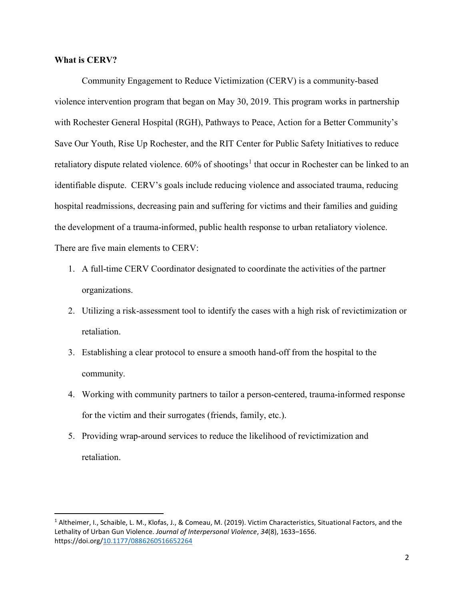## What is CERV?

 Community Engagement to Reduce Victimization (CERV) is a community-based violence intervention program that began on May 30, 2019. This program works in partnership with Rochester General Hospital (RGH), Pathways to Peace, Action for a Better Community's Save Our Youth, Rise Up Rochester, and the RIT Center for Public Safety Initiatives to reduce retaliatory dispute related violence. 60% of shootings<sup>1</sup> that occur in Rochester can be linked to an identifiable dispute. CERV's goals include reducing violence and associated trauma, reducing hospital readmissions, decreasing pain and suffering for victims and their families and guiding the development of a trauma-informed, public health response to urban retaliatory violence. There are five main elements to CERV:

- 1. A full-time CERV Coordinator designated to coordinate the activities of the partner organizations.
- 2. Utilizing a risk-assessment tool to identify the cases with a high risk of revictimization or retaliation.
- 3. Establishing a clear protocol to ensure a smooth hand-off from the hospital to the community.
- 4. Working with community partners to tailor a person-centered, trauma-informed response for the victim and their surrogates (friends, family, etc.).
- 5. Providing wrap-around services to reduce the likelihood of revictimization and retaliation.

<sup>&</sup>lt;sup>1</sup> Altheimer, I., Schaible, L. M., Klofas, J., & Comeau, M. (2019). Victim Characteristics, Situational Factors, and the Lethality of Urban Gun Violence. Journal of Interpersonal Violence, 34(8), 1633–1656. https://doi.org/10.1177/0886260516652264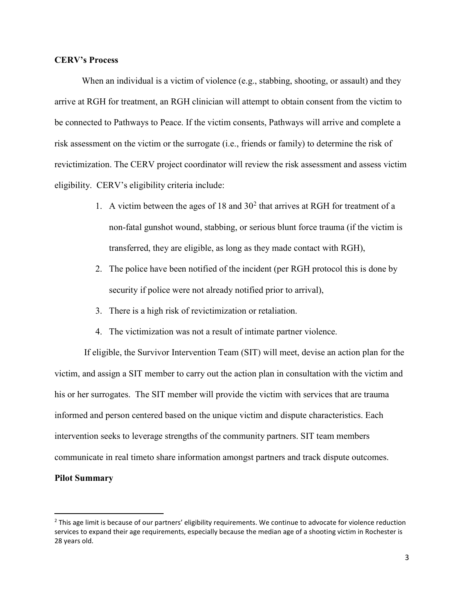#### CERV's Process

When an individual is a victim of violence (e.g., stabbing, shooting, or assault) and they arrive at RGH for treatment, an RGH clinician will attempt to obtain consent from the victim to be connected to Pathways to Peace. If the victim consents, Pathways will arrive and complete a risk assessment on the victim or the surrogate (i.e., friends or family) to determine the risk of revictimization. The CERV project coordinator will review the risk assessment and assess victim eligibility. CERV's eligibility criteria include:

- 1. A victim between the ages of  $18$  and  $30<sup>2</sup>$  that arrives at RGH for treatment of a non-fatal gunshot wound, stabbing, or serious blunt force trauma (if the victim is transferred, they are eligible, as long as they made contact with RGH),
- 2. The police have been notified of the incident (per RGH protocol this is done by security if police were not already notified prior to arrival),
- 3. There is a high risk of revictimization or retaliation.
- 4. The victimization was not a result of intimate partner violence.

 If eligible, the Survivor Intervention Team (SIT) will meet, devise an action plan for the victim, and assign a SIT member to carry out the action plan in consultation with the victim and his or her surrogates. The SIT member will provide the victim with services that are trauma informed and person centered based on the unique victim and dispute characteristics. Each intervention seeks to leverage strengths of the community partners. SIT team members communicate in real timeto share information amongst partners and track dispute outcomes.

### Pilot Summary

<sup>&</sup>lt;sup>2</sup> This age limit is because of our partners' eligibility requirements. We continue to advocate for violence reduction services to expand their age requirements, especially because the median age of a shooting victim in Rochester is 28 years old.